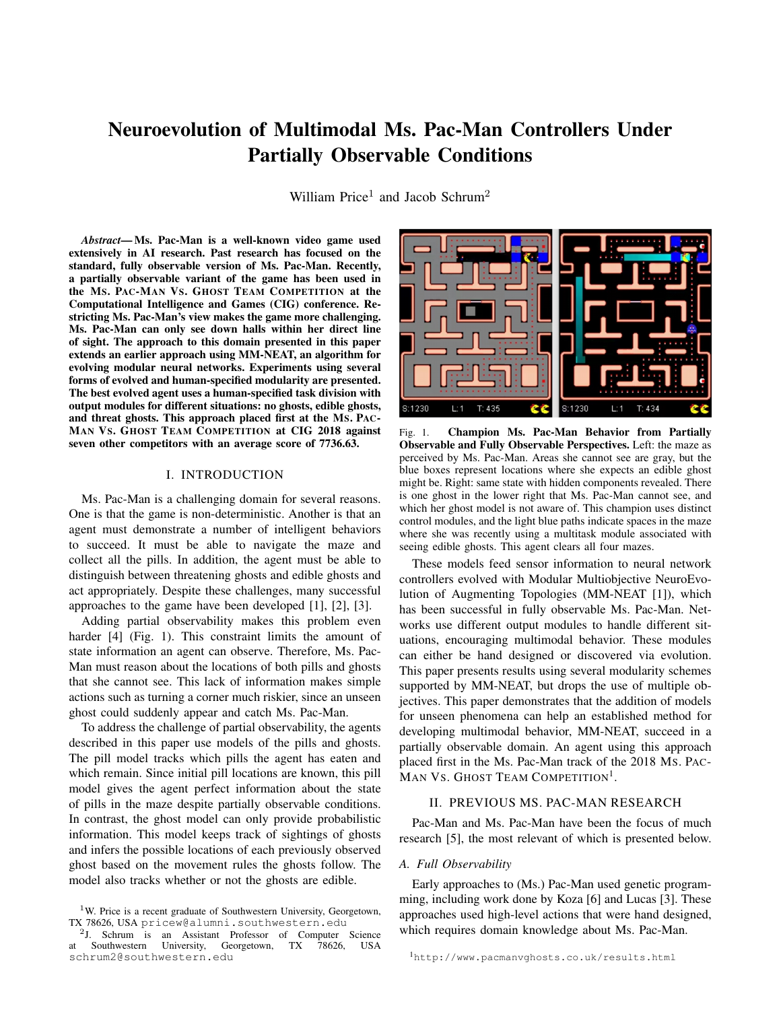# Neuroevolution of Multimodal Ms. Pac-Man Controllers Under Partially Observable Conditions

William  $Price<sup>1</sup>$  and Jacob Schrum<sup>2</sup>

*Abstract*— Ms. Pac-Man is a well-known video game used extensively in AI research. Past research has focused on the standard, fully observable version of Ms. Pac-Man. Recently, a partially observable variant of the game has been used in the MS. PAC-MAN VS. GHOST TEAM COMPETITION at the Computational Intelligence and Games (CIG) conference. Restricting Ms. Pac-Man's view makes the game more challenging. Ms. Pac-Man can only see down halls within her direct line of sight. The approach to this domain presented in this paper extends an earlier approach using MM-NEAT, an algorithm for evolving modular neural networks. Experiments using several forms of evolved and human-specified modularity are presented. The best evolved agent uses a human-specified task division with output modules for different situations: no ghosts, edible ghosts, and threat ghosts. This approach placed first at the MS. PAC-MAN VS. GHOST TEAM COMPETITION at CIG 2018 against seven other competitors with an average score of 7736.63.

## I. INTRODUCTION

Ms. Pac-Man is a challenging domain for several reasons. One is that the game is non-deterministic. Another is that an agent must demonstrate a number of intelligent behaviors to succeed. It must be able to navigate the maze and collect all the pills. In addition, the agent must be able to distinguish between threatening ghosts and edible ghosts and act appropriately. Despite these challenges, many successful approaches to the game have been developed [1], [2], [3].

Adding partial observability makes this problem even harder [4] (Fig. 1). This constraint limits the amount of state information an agent can observe. Therefore, Ms. Pac-Man must reason about the locations of both pills and ghosts that she cannot see. This lack of information makes simple actions such as turning a corner much riskier, since an unseen ghost could suddenly appear and catch Ms. Pac-Man.

To address the challenge of partial observability, the agents described in this paper use models of the pills and ghosts. The pill model tracks which pills the agent has eaten and which remain. Since initial pill locations are known, this pill model gives the agent perfect information about the state of pills in the maze despite partially observable conditions. In contrast, the ghost model can only provide probabilistic information. This model keeps track of sightings of ghosts and infers the possible locations of each previously observed ghost based on the movement rules the ghosts follow. The model also tracks whether or not the ghosts are edible.



Fig. 1. Champion Ms. Pac-Man Behavior from Partially Observable and Fully Observable Perspectives. Left: the maze as perceived by Ms. Pac-Man. Areas she cannot see are gray, but the blue boxes represent locations where she expects an edible ghost might be. Right: same state with hidden components revealed. There is one ghost in the lower right that Ms. Pac-Man cannot see, and which her ghost model is not aware of. This champion uses distinct control modules, and the light blue paths indicate spaces in the maze where she was recently using a multitask module associated with seeing edible ghosts. This agent clears all four mazes.

These models feed sensor information to neural network controllers evolved with Modular Multiobjective NeuroEvolution of Augmenting Topologies (MM-NEAT [1]), which has been successful in fully observable Ms. Pac-Man. Networks use different output modules to handle different situations, encouraging multimodal behavior. These modules can either be hand designed or discovered via evolution. This paper presents results using several modularity schemes supported by MM-NEAT, but drops the use of multiple objectives. This paper demonstrates that the addition of models for unseen phenomena can help an established method for developing multimodal behavior, MM-NEAT, succeed in a partially observable domain. An agent using this approach placed first in the Ms. Pac-Man track of the 2018 MS. PAC-MAN VS. GHOST TEAM COMPETITION<sup>1</sup>.

# II. PREVIOUS MS. PAC-MAN RESEARCH

Pac-Man and Ms. Pac-Man have been the focus of much research [5], the most relevant of which is presented below.

#### *A. Full Observability*

Early approaches to (Ms.) Pac-Man used genetic programming, including work done by Koza [6] and Lucas [3]. These approaches used high-level actions that were hand designed, which requires domain knowledge about Ms. Pac-Man.

<sup>&</sup>lt;sup>1</sup>W. Price is a recent graduate of Southwestern University, Georgetown, TX 78626, USA pricew@alumni.southwestern.edu

<sup>2</sup> J. Schrum is an Assistant Professor of Computer Science at Southwestern University, Georgetown, TX 78626, USA schrum2@southwestern.edu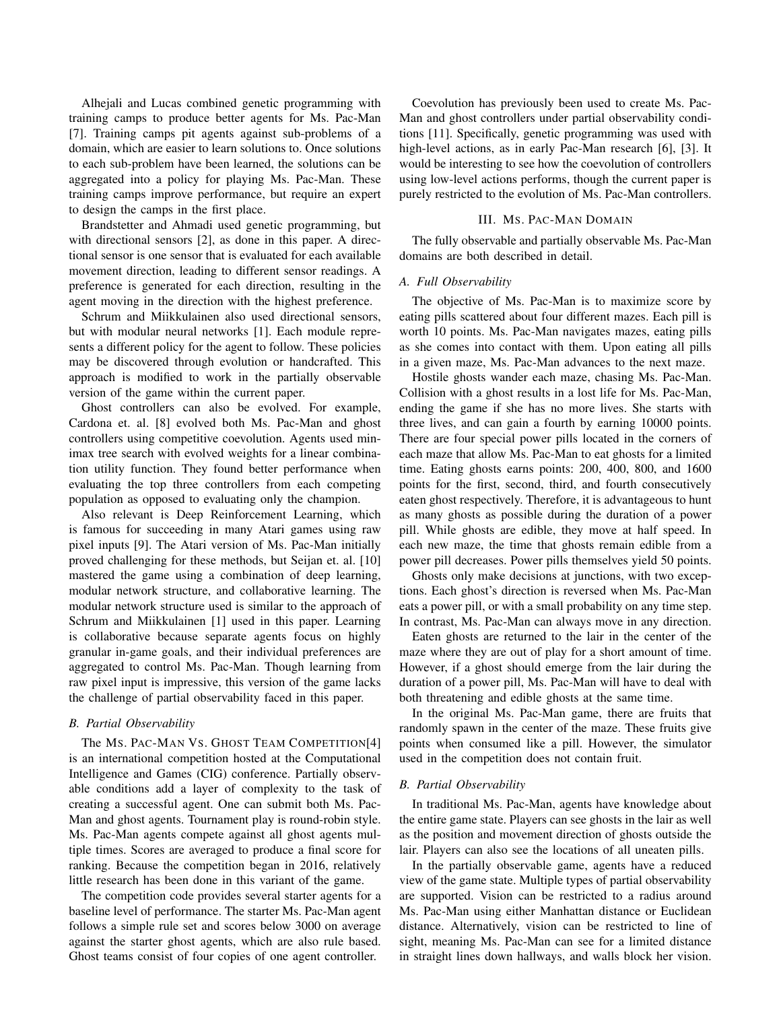Alhejali and Lucas combined genetic programming with training camps to produce better agents for Ms. Pac-Man [7]. Training camps pit agents against sub-problems of a domain, which are easier to learn solutions to. Once solutions to each sub-problem have been learned, the solutions can be aggregated into a policy for playing Ms. Pac-Man. These training camps improve performance, but require an expert to design the camps in the first place.

Brandstetter and Ahmadi used genetic programming, but with directional sensors [2], as done in this paper. A directional sensor is one sensor that is evaluated for each available movement direction, leading to different sensor readings. A preference is generated for each direction, resulting in the agent moving in the direction with the highest preference.

Schrum and Miikkulainen also used directional sensors, but with modular neural networks [1]. Each module represents a different policy for the agent to follow. These policies may be discovered through evolution or handcrafted. This approach is modified to work in the partially observable version of the game within the current paper.

Ghost controllers can also be evolved. For example, Cardona et. al. [8] evolved both Ms. Pac-Man and ghost controllers using competitive coevolution. Agents used minimax tree search with evolved weights for a linear combination utility function. They found better performance when evaluating the top three controllers from each competing population as opposed to evaluating only the champion.

Also relevant is Deep Reinforcement Learning, which is famous for succeeding in many Atari games using raw pixel inputs [9]. The Atari version of Ms. Pac-Man initially proved challenging for these methods, but Seijan et. al. [10] mastered the game using a combination of deep learning, modular network structure, and collaborative learning. The modular network structure used is similar to the approach of Schrum and Miikkulainen [1] used in this paper. Learning is collaborative because separate agents focus on highly granular in-game goals, and their individual preferences are aggregated to control Ms. Pac-Man. Though learning from raw pixel input is impressive, this version of the game lacks the challenge of partial observability faced in this paper.

# *B. Partial Observability*

The MS. PAC-MAN VS. GHOST TEAM COMPETITION[4] is an international competition hosted at the Computational Intelligence and Games (CIG) conference. Partially observable conditions add a layer of complexity to the task of creating a successful agent. One can submit both Ms. Pac-Man and ghost agents. Tournament play is round-robin style. Ms. Pac-Man agents compete against all ghost agents multiple times. Scores are averaged to produce a final score for ranking. Because the competition began in 2016, relatively little research has been done in this variant of the game.

The competition code provides several starter agents for a baseline level of performance. The starter Ms. Pac-Man agent follows a simple rule set and scores below 3000 on average against the starter ghost agents, which are also rule based. Ghost teams consist of four copies of one agent controller.

Coevolution has previously been used to create Ms. Pac-Man and ghost controllers under partial observability conditions [11]. Specifically, genetic programming was used with high-level actions, as in early Pac-Man research [6], [3]. It would be interesting to see how the coevolution of controllers using low-level actions performs, though the current paper is purely restricted to the evolution of Ms. Pac-Man controllers.

# III. MS. PAC-MAN DOMAIN

The fully observable and partially observable Ms. Pac-Man domains are both described in detail.

## *A. Full Observability*

The objective of Ms. Pac-Man is to maximize score by eating pills scattered about four different mazes. Each pill is worth 10 points. Ms. Pac-Man navigates mazes, eating pills as she comes into contact with them. Upon eating all pills in a given maze, Ms. Pac-Man advances to the next maze.

Hostile ghosts wander each maze, chasing Ms. Pac-Man. Collision with a ghost results in a lost life for Ms. Pac-Man, ending the game if she has no more lives. She starts with three lives, and can gain a fourth by earning 10000 points. There are four special power pills located in the corners of each maze that allow Ms. Pac-Man to eat ghosts for a limited time. Eating ghosts earns points: 200, 400, 800, and 1600 points for the first, second, third, and fourth consecutively eaten ghost respectively. Therefore, it is advantageous to hunt as many ghosts as possible during the duration of a power pill. While ghosts are edible, they move at half speed. In each new maze, the time that ghosts remain edible from a power pill decreases. Power pills themselves yield 50 points.

Ghosts only make decisions at junctions, with two exceptions. Each ghost's direction is reversed when Ms. Pac-Man eats a power pill, or with a small probability on any time step. In contrast, Ms. Pac-Man can always move in any direction.

Eaten ghosts are returned to the lair in the center of the maze where they are out of play for a short amount of time. However, if a ghost should emerge from the lair during the duration of a power pill, Ms. Pac-Man will have to deal with both threatening and edible ghosts at the same time.

In the original Ms. Pac-Man game, there are fruits that randomly spawn in the center of the maze. These fruits give points when consumed like a pill. However, the simulator used in the competition does not contain fruit.

# *B. Partial Observability*

In traditional Ms. Pac-Man, agents have knowledge about the entire game state. Players can see ghosts in the lair as well as the position and movement direction of ghosts outside the lair. Players can also see the locations of all uneaten pills.

In the partially observable game, agents have a reduced view of the game state. Multiple types of partial observability are supported. Vision can be restricted to a radius around Ms. Pac-Man using either Manhattan distance or Euclidean distance. Alternatively, vision can be restricted to line of sight, meaning Ms. Pac-Man can see for a limited distance in straight lines down hallways, and walls block her vision.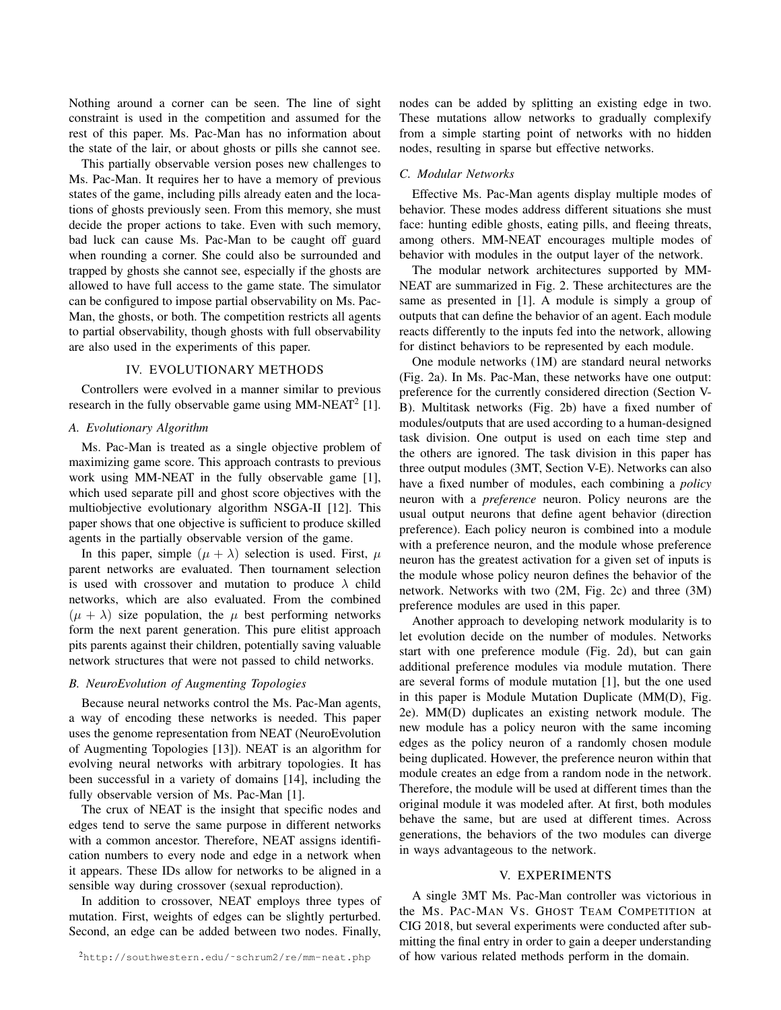Nothing around a corner can be seen. The line of sight constraint is used in the competition and assumed for the rest of this paper. Ms. Pac-Man has no information about the state of the lair, or about ghosts or pills she cannot see.

This partially observable version poses new challenges to Ms. Pac-Man. It requires her to have a memory of previous states of the game, including pills already eaten and the locations of ghosts previously seen. From this memory, she must decide the proper actions to take. Even with such memory, bad luck can cause Ms. Pac-Man to be caught off guard when rounding a corner. She could also be surrounded and trapped by ghosts she cannot see, especially if the ghosts are allowed to have full access to the game state. The simulator can be configured to impose partial observability on Ms. Pac-Man, the ghosts, or both. The competition restricts all agents to partial observability, though ghosts with full observability are also used in the experiments of this paper.

## IV. EVOLUTIONARY METHODS

Controllers were evolved in a manner similar to previous research in the fully observable game using MM-NEAT<sup>2</sup> [1].

# *A. Evolutionary Algorithm*

Ms. Pac-Man is treated as a single objective problem of maximizing game score. This approach contrasts to previous work using MM-NEAT in the fully observable game [1], which used separate pill and ghost score objectives with the multiobjective evolutionary algorithm NSGA-II [12]. This paper shows that one objective is sufficient to produce skilled agents in the partially observable version of the game.

In this paper, simple  $(\mu + \lambda)$  selection is used. First,  $\mu$ parent networks are evaluated. Then tournament selection is used with crossover and mutation to produce  $\lambda$  child networks, which are also evaluated. From the combined  $(\mu + \lambda)$  size population, the  $\mu$  best performing networks form the next parent generation. This pure elitist approach pits parents against their children, potentially saving valuable network structures that were not passed to child networks.

# *B. NeuroEvolution of Augmenting Topologies*

Because neural networks control the Ms. Pac-Man agents, a way of encoding these networks is needed. This paper uses the genome representation from NEAT (NeuroEvolution of Augmenting Topologies [13]). NEAT is an algorithm for evolving neural networks with arbitrary topologies. It has been successful in a variety of domains [14], including the fully observable version of Ms. Pac-Man [1].

The crux of NEAT is the insight that specific nodes and edges tend to serve the same purpose in different networks with a common ancestor. Therefore, NEAT assigns identification numbers to every node and edge in a network when it appears. These IDs allow for networks to be aligned in a sensible way during crossover (sexual reproduction).

In addition to crossover, NEAT employs three types of mutation. First, weights of edges can be slightly perturbed. Second, an edge can be added between two nodes. Finally, nodes can be added by splitting an existing edge in two. These mutations allow networks to gradually complexify from a simple starting point of networks with no hidden nodes, resulting in sparse but effective networks.

## *C. Modular Networks*

Effective Ms. Pac-Man agents display multiple modes of behavior. These modes address different situations she must face: hunting edible ghosts, eating pills, and fleeing threats, among others. MM-NEAT encourages multiple modes of behavior with modules in the output layer of the network.

The modular network architectures supported by MM-NEAT are summarized in Fig. 2. These architectures are the same as presented in [1]. A module is simply a group of outputs that can define the behavior of an agent. Each module reacts differently to the inputs fed into the network, allowing for distinct behaviors to be represented by each module.

One module networks (1M) are standard neural networks (Fig. 2a). In Ms. Pac-Man, these networks have one output: preference for the currently considered direction (Section V-B). Multitask networks (Fig. 2b) have a fixed number of modules/outputs that are used according to a human-designed task division. One output is used on each time step and the others are ignored. The task division in this paper has three output modules (3MT, Section V-E). Networks can also have a fixed number of modules, each combining a *policy* neuron with a *preference* neuron. Policy neurons are the usual output neurons that define agent behavior (direction preference). Each policy neuron is combined into a module with a preference neuron, and the module whose preference neuron has the greatest activation for a given set of inputs is the module whose policy neuron defines the behavior of the network. Networks with two (2M, Fig. 2c) and three (3M) preference modules are used in this paper.

Another approach to developing network modularity is to let evolution decide on the number of modules. Networks start with one preference module (Fig. 2d), but can gain additional preference modules via module mutation. There are several forms of module mutation [1], but the one used in this paper is Module Mutation Duplicate (MM(D), Fig. 2e). MM(D) duplicates an existing network module. The new module has a policy neuron with the same incoming edges as the policy neuron of a randomly chosen module being duplicated. However, the preference neuron within that module creates an edge from a random node in the network. Therefore, the module will be used at different times than the original module it was modeled after. At first, both modules behave the same, but are used at different times. Across generations, the behaviors of the two modules can diverge in ways advantageous to the network.

## V. EXPERIMENTS

A single 3MT Ms. Pac-Man controller was victorious in the MS. PAC-MAN VS. GHOST TEAM COMPETITION at CIG 2018, but several experiments were conducted after submitting the final entry in order to gain a deeper understanding of how various related methods perform in the domain.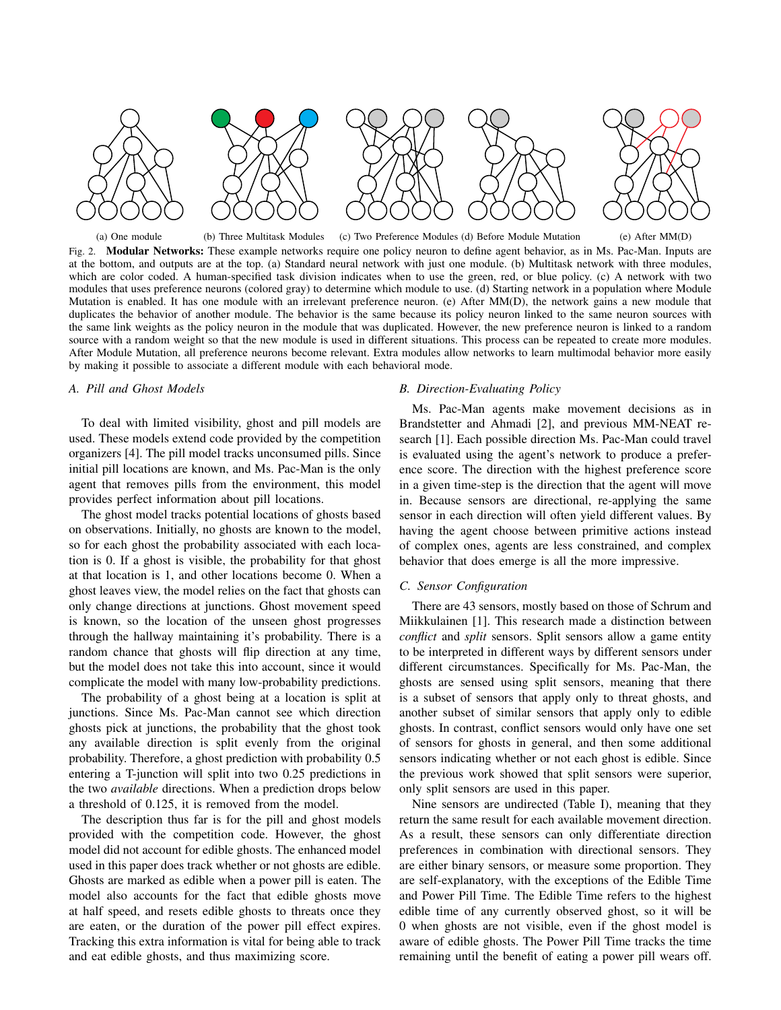

(a) One module (b) Three Multitask Modules (c) Two Preference Modules (d) Before Module Mutation (e) After MM(D) Fig. 2. Modular Networks: These example networks require one policy neuron to define agent behavior, as in Ms. Pac-Man. Inputs are at the bottom, and outputs are at the top. (a) Standard neural network with just one module. (b) Multitask network with three modules, which are color coded. A human-specified task division indicates when to use the green, red, or blue policy. (c) A network with two modules that uses preference neurons (colored gray) to determine which module to use. (d) Starting network in a population where Module Mutation is enabled. It has one module with an irrelevant preference neuron. (e) After MM(D), the network gains a new module that duplicates the behavior of another module. The behavior is the same because its policy neuron linked to the same neuron sources with the same link weights as the policy neuron in the module that was duplicated. However, the new preference neuron is linked to a random source with a random weight so that the new module is used in different situations. This process can be repeated to create more modules. After Module Mutation, all preference neurons become relevant. Extra modules allow networks to learn multimodal behavior more easily by making it possible to associate a different module with each behavioral mode.

#### *A. Pill and Ghost Models*

To deal with limited visibility, ghost and pill models are used. These models extend code provided by the competition organizers [4]. The pill model tracks unconsumed pills. Since initial pill locations are known, and Ms. Pac-Man is the only agent that removes pills from the environment, this model provides perfect information about pill locations.

The ghost model tracks potential locations of ghosts based on observations. Initially, no ghosts are known to the model, so for each ghost the probability associated with each location is 0. If a ghost is visible, the probability for that ghost at that location is 1, and other locations become 0. When a ghost leaves view, the model relies on the fact that ghosts can only change directions at junctions. Ghost movement speed is known, so the location of the unseen ghost progresses through the hallway maintaining it's probability. There is a random chance that ghosts will flip direction at any time, but the model does not take this into account, since it would complicate the model with many low-probability predictions.

The probability of a ghost being at a location is split at junctions. Since Ms. Pac-Man cannot see which direction ghosts pick at junctions, the probability that the ghost took any available direction is split evenly from the original probability. Therefore, a ghost prediction with probability 0.5 entering a T-junction will split into two 0.25 predictions in the two *available* directions. When a prediction drops below a threshold of 0.125, it is removed from the model.

The description thus far is for the pill and ghost models provided with the competition code. However, the ghost model did not account for edible ghosts. The enhanced model used in this paper does track whether or not ghosts are edible. Ghosts are marked as edible when a power pill is eaten. The model also accounts for the fact that edible ghosts move at half speed, and resets edible ghosts to threats once they are eaten, or the duration of the power pill effect expires. Tracking this extra information is vital for being able to track and eat edible ghosts, and thus maximizing score.

#### *B. Direction-Evaluating Policy*

Ms. Pac-Man agents make movement decisions as in Brandstetter and Ahmadi [2], and previous MM-NEAT research [1]. Each possible direction Ms. Pac-Man could travel is evaluated using the agent's network to produce a preference score. The direction with the highest preference score in a given time-step is the direction that the agent will move in. Because sensors are directional, re-applying the same sensor in each direction will often yield different values. By having the agent choose between primitive actions instead of complex ones, agents are less constrained, and complex behavior that does emerge is all the more impressive.

# *C. Sensor Configuration*

There are 43 sensors, mostly based on those of Schrum and Miikkulainen [1]. This research made a distinction between *conflict* and *split* sensors. Split sensors allow a game entity to be interpreted in different ways by different sensors under different circumstances. Specifically for Ms. Pac-Man, the ghosts are sensed using split sensors, meaning that there is a subset of sensors that apply only to threat ghosts, and another subset of similar sensors that apply only to edible ghosts. In contrast, conflict sensors would only have one set of sensors for ghosts in general, and then some additional sensors indicating whether or not each ghost is edible. Since the previous work showed that split sensors were superior, only split sensors are used in this paper.

Nine sensors are undirected (Table I), meaning that they return the same result for each available movement direction. As a result, these sensors can only differentiate direction preferences in combination with directional sensors. They are either binary sensors, or measure some proportion. They are self-explanatory, with the exceptions of the Edible Time and Power Pill Time. The Edible Time refers to the highest edible time of any currently observed ghost, so it will be 0 when ghosts are not visible, even if the ghost model is aware of edible ghosts. The Power Pill Time tracks the time remaining until the benefit of eating a power pill wears off.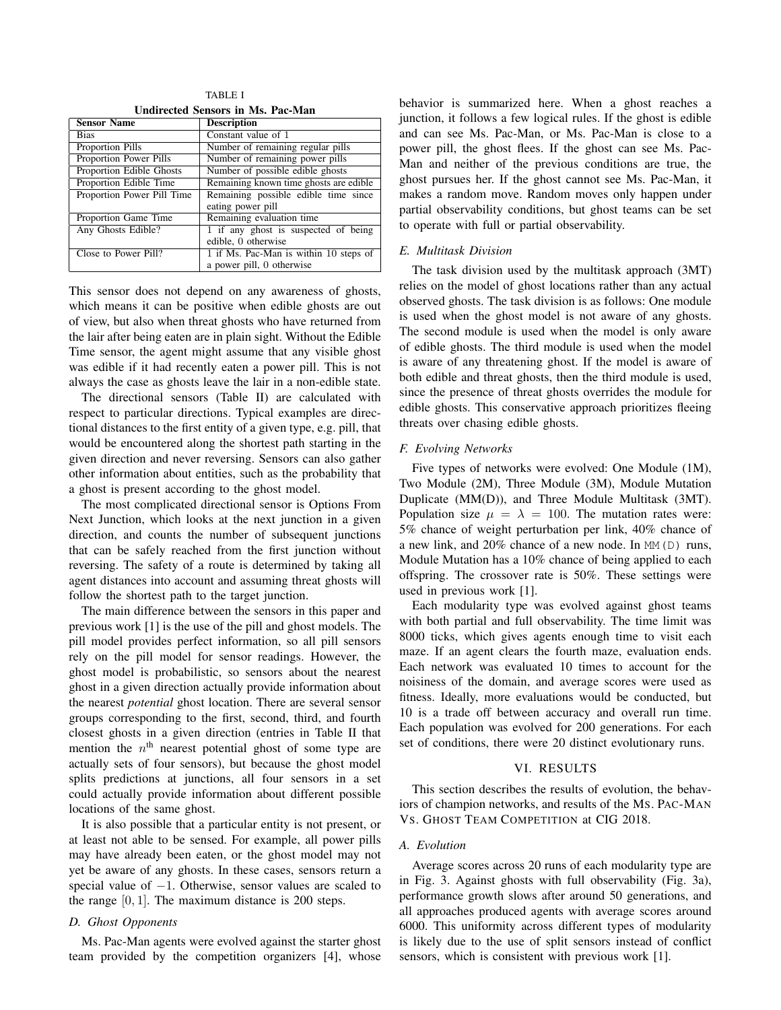TABLE I Undirected Sensors in Ms. Pac-Man

| <b>Sensor Name</b>         | <b>Description</b>                     |
|----------------------------|----------------------------------------|
| <b>Bias</b>                | Constant value of 1                    |
| Proportion Pills           | Number of remaining regular pills      |
| Proportion Power Pills     | Number of remaining power pills        |
| Proportion Edible Ghosts   | Number of possible edible ghosts       |
| Proportion Edible Time     | Remaining known time ghosts are edible |
| Proportion Power Pill Time | Remaining possible edible time since   |
|                            | eating power pill                      |
| Proportion Game Time       | Remaining evaluation time              |
| Any Ghosts Edible?         | 1 if any ghost is suspected of being   |
|                            | edible, 0 otherwise                    |
| Close to Power Pill?       | 1 if Ms. Pac-Man is within 10 steps of |
|                            | a power pill, 0 otherwise              |

This sensor does not depend on any awareness of ghosts, which means it can be positive when edible ghosts are out of view, but also when threat ghosts who have returned from the lair after being eaten are in plain sight. Without the Edible Time sensor, the agent might assume that any visible ghost was edible if it had recently eaten a power pill. This is not always the case as ghosts leave the lair in a non-edible state.

The directional sensors (Table II) are calculated with respect to particular directions. Typical examples are directional distances to the first entity of a given type, e.g. pill, that would be encountered along the shortest path starting in the given direction and never reversing. Sensors can also gather other information about entities, such as the probability that a ghost is present according to the ghost model.

The most complicated directional sensor is Options From Next Junction, which looks at the next junction in a given direction, and counts the number of subsequent junctions that can be safely reached from the first junction without reversing. The safety of a route is determined by taking all agent distances into account and assuming threat ghosts will follow the shortest path to the target junction.

The main difference between the sensors in this paper and previous work [1] is the use of the pill and ghost models. The pill model provides perfect information, so all pill sensors rely on the pill model for sensor readings. However, the ghost model is probabilistic, so sensors about the nearest ghost in a given direction actually provide information about the nearest *potential* ghost location. There are several sensor groups corresponding to the first, second, third, and fourth closest ghosts in a given direction (entries in Table II that mention the  $n<sup>th</sup>$  nearest potential ghost of some type are actually sets of four sensors), but because the ghost model splits predictions at junctions, all four sensors in a set could actually provide information about different possible locations of the same ghost.

It is also possible that a particular entity is not present, or at least not able to be sensed. For example, all power pills may have already been eaten, or the ghost model may not yet be aware of any ghosts. In these cases, sensors return a special value of −1. Otherwise, sensor values are scaled to the range  $[0, 1]$ . The maximum distance is 200 steps.

# *D. Ghost Opponents*

Ms. Pac-Man agents were evolved against the starter ghost team provided by the competition organizers [4], whose behavior is summarized here. When a ghost reaches a junction, it follows a few logical rules. If the ghost is edible and can see Ms. Pac-Man, or Ms. Pac-Man is close to a power pill, the ghost flees. If the ghost can see Ms. Pac-Man and neither of the previous conditions are true, the ghost pursues her. If the ghost cannot see Ms. Pac-Man, it makes a random move. Random moves only happen under partial observability conditions, but ghost teams can be set to operate with full or partial observability.

# *E. Multitask Division*

The task division used by the multitask approach (3MT) relies on the model of ghost locations rather than any actual observed ghosts. The task division is as follows: One module is used when the ghost model is not aware of any ghosts. The second module is used when the model is only aware of edible ghosts. The third module is used when the model is aware of any threatening ghost. If the model is aware of both edible and threat ghosts, then the third module is used, since the presence of threat ghosts overrides the module for edible ghosts. This conservative approach prioritizes fleeing threats over chasing edible ghosts.

# *F. Evolving Networks*

Five types of networks were evolved: One Module (1M), Two Module (2M), Three Module (3M), Module Mutation Duplicate (MM(D)), and Three Module Multitask (3MT). Population size  $\mu = \lambda = 100$ . The mutation rates were: 5% chance of weight perturbation per link, 40% chance of a new link, and 20% chance of a new node. In MM(D) runs, Module Mutation has a 10% chance of being applied to each offspring. The crossover rate is 50%. These settings were used in previous work [1].

Each modularity type was evolved against ghost teams with both partial and full observability. The time limit was 8000 ticks, which gives agents enough time to visit each maze. If an agent clears the fourth maze, evaluation ends. Each network was evaluated 10 times to account for the noisiness of the domain, and average scores were used as fitness. Ideally, more evaluations would be conducted, but 10 is a trade off between accuracy and overall run time. Each population was evolved for 200 generations. For each set of conditions, there were 20 distinct evolutionary runs.

## VI. RESULTS

This section describes the results of evolution, the behaviors of champion networks, and results of the MS. PAC-MAN VS. GHOST TEAM COMPETITION at CIG 2018.

# *A. Evolution*

Average scores across 20 runs of each modularity type are in Fig. 3. Against ghosts with full observability (Fig. 3a), performance growth slows after around 50 generations, and all approaches produced agents with average scores around 6000. This uniformity across different types of modularity is likely due to the use of split sensors instead of conflict sensors, which is consistent with previous work [1].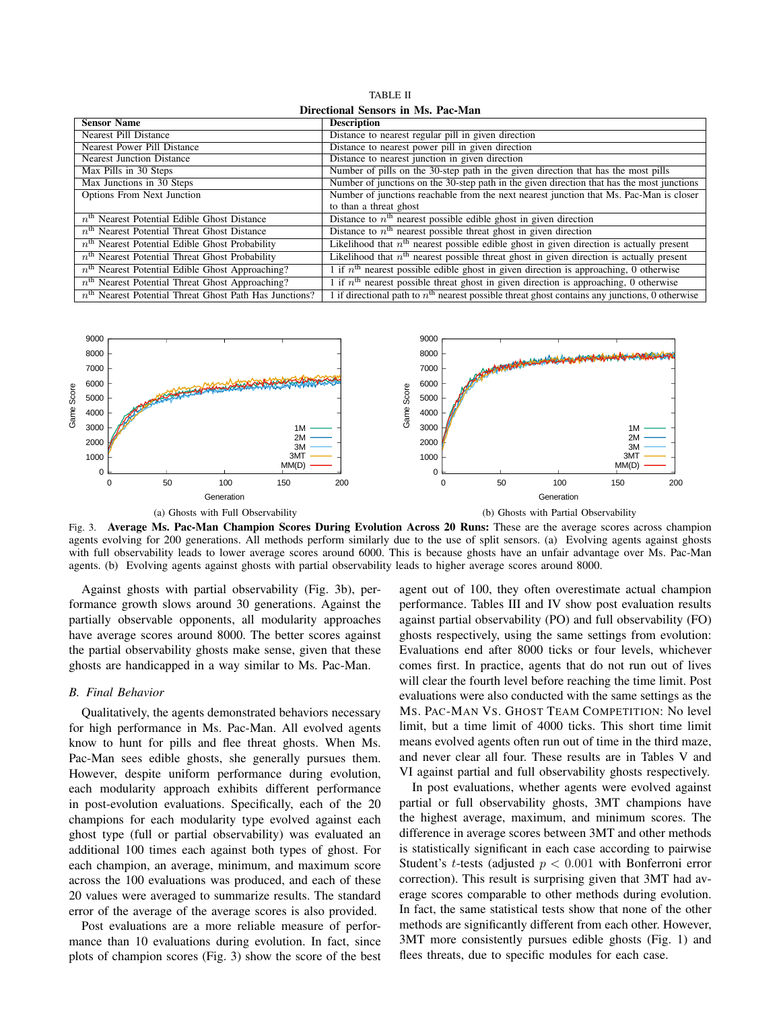TABLE II Directional Sensors in Ms. Pac-Man

| <b>Sensor Name</b>                                       | <b>Description</b>                                                                                   |
|----------------------------------------------------------|------------------------------------------------------------------------------------------------------|
| <b>Nearest Pill Distance</b>                             | Distance to nearest regular pill in given direction                                                  |
| Nearest Power Pill Distance                              | Distance to nearest power pill in given direction                                                    |
| <b>Nearest Junction Distance</b>                         | Distance to nearest junction in given direction                                                      |
| Max Pills in 30 Steps                                    | Number of pills on the 30-step path in the given direction that has the most pills                   |
| Max Junctions in 30 Steps                                | Number of junctions on the 30-step path in the given direction that has the most junctions           |
| <b>Options From Next Junction</b>                        | Number of junctions reachable from the next nearest junction that Ms. Pac-Man is closer              |
|                                                          | to than a threat ghost                                                                               |
| $nth$ Nearest Potential Edible Ghost Distance            | Distance to $n^{\text{th}}$ nearest possible edible ghost in given direction                         |
| $nth$ Nearest Potential Threat Ghost Distance            | Distance to $nth$ nearest possible threat ghost in given direction                                   |
| $nth$ Nearest Potential Edible Ghost Probability         | Likelihood that $n^{\text{th}}$ nearest possible edible ghost in given direction is actually present |
| $nth$ Nearest Potential Threat Ghost Probability         | Likelihood that $n^{\text{th}}$ nearest possible threat ghost in given direction is actually present |
| $nth$ Nearest Potential Edible Ghost Approaching?        | 1 if $n^{\text{th}}$ nearest possible edible ghost in given direction is approaching, 0 otherwise    |
| $nth$ Nearest Potential Threat Ghost Approaching?        | 1 if $n^{\text{th}}$ nearest possible threat ghost in given direction is approaching, 0 otherwise    |
| $nth$ Nearest Potential Threat Ghost Path Has Junctions? | 1 if directional path to $nth$ nearest possible threat ghost contains any junctions, 0 otherwise     |



Fig. 3. Average Ms. Pac-Man Champion Scores During Evolution Across 20 Runs: These are the average scores across champion agents evolving for 200 generations. All methods perform similarly due to the use of split sensors. (a) Evolving agents against ghosts with full observability leads to lower average scores around 6000. This is because ghosts have an unfair advantage over Ms. Pac-Man agents. (b) Evolving agents against ghosts with partial observability leads to higher average scores around 8000.

Against ghosts with partial observability (Fig. 3b), performance growth slows around 30 generations. Against the partially observable opponents, all modularity approaches have average scores around 8000. The better scores against the partial observability ghosts make sense, given that these ghosts are handicapped in a way similar to Ms. Pac-Man.

# *B. Final Behavior*

Qualitatively, the agents demonstrated behaviors necessary for high performance in Ms. Pac-Man. All evolved agents know to hunt for pills and flee threat ghosts. When Ms. Pac-Man sees edible ghosts, she generally pursues them. However, despite uniform performance during evolution, each modularity approach exhibits different performance in post-evolution evaluations. Specifically, each of the 20 champions for each modularity type evolved against each ghost type (full or partial observability) was evaluated an additional 100 times each against both types of ghost. For each champion, an average, minimum, and maximum score across the 100 evaluations was produced, and each of these 20 values were averaged to summarize results. The standard error of the average of the average scores is also provided.

Post evaluations are a more reliable measure of performance than 10 evaluations during evolution. In fact, since plots of champion scores (Fig. 3) show the score of the best agent out of 100, they often overestimate actual champion performance. Tables III and IV show post evaluation results against partial observability (PO) and full observability (FO) ghosts respectively, using the same settings from evolution: Evaluations end after 8000 ticks or four levels, whichever comes first. In practice, agents that do not run out of lives will clear the fourth level before reaching the time limit. Post evaluations were also conducted with the same settings as the MS. PAC-MAN VS. GHOST TEAM COMPETITION: No level limit, but a time limit of 4000 ticks. This short time limit means evolved agents often run out of time in the third maze, and never clear all four. These results are in Tables V and VI against partial and full observability ghosts respectively.

In post evaluations, whether agents were evolved against partial or full observability ghosts, 3MT champions have the highest average, maximum, and minimum scores. The difference in average scores between 3MT and other methods is statistically significant in each case according to pairwise Student's t-tests (adjusted  $p < 0.001$  with Bonferroni error correction). This result is surprising given that 3MT had average scores comparable to other methods during evolution. In fact, the same statistical tests show that none of the other methods are significantly different from each other. However, 3MT more consistently pursues edible ghosts (Fig. 1) and flees threats, due to specific modules for each case.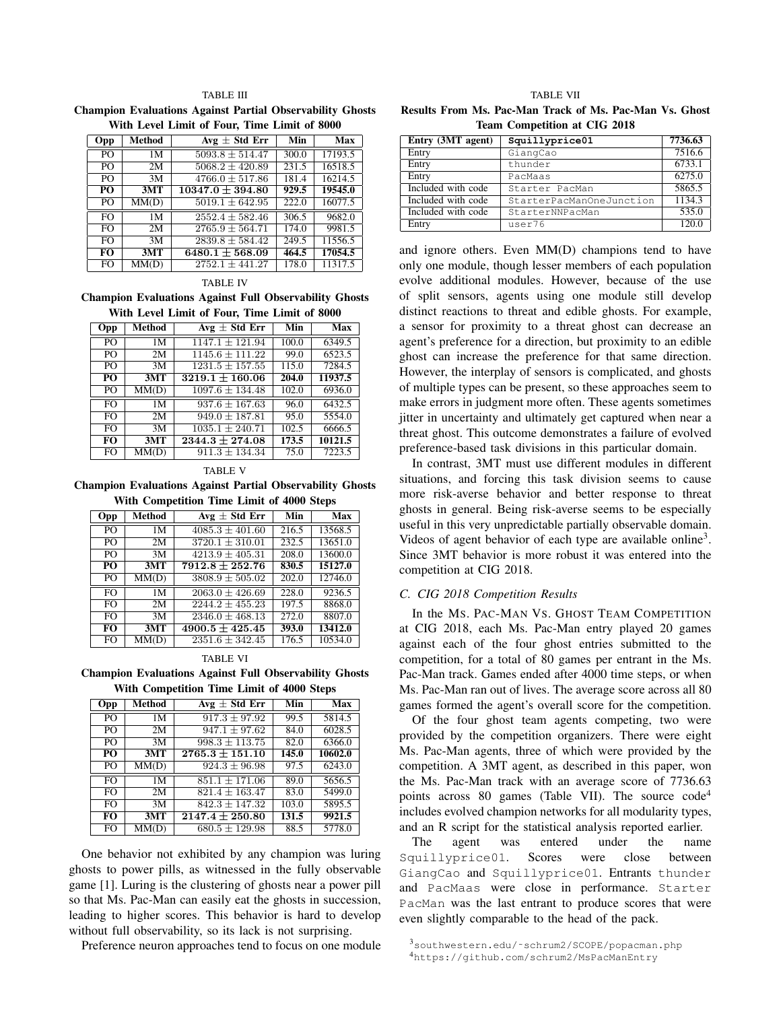# TABLE III Champion Evaluations Against Partial Observability Ghosts With Level Limit of Four, Time Limit of 8000

| Opp            | Method | Avg $\pm$ Std Err    | Min   | <b>Max</b> |
|----------------|--------|----------------------|-------|------------|
| P <sub>O</sub> | 1M     | $5093.8 \pm 514.47$  | 300.0 | 17193.5    |
| P <sub>O</sub> | 2M     | $5068.2 \pm 420.89$  | 231.5 | 16518.5    |
| P <sub>O</sub> | 3M     | $4766.0 \pm 517.86$  | 181.4 | 16214.5    |
| PО             | 3MT    | $10347.0 \pm 394.80$ | 929.5 | 19545.0    |
| PO             | MM(D)  | $5019.1 \pm 642.95$  | 222.0 | 16077.5    |
| F()            | 1M     | $2552.4 \pm 582.46$  | 306.5 | 9682.0     |
| FO.            | 2M     | $2765.9 \pm 564.71$  | 174.0 | 9981.5     |
| FO             | 3M     | $2839.8 \pm 584.42$  | 249.5 | 11556.5    |
| FO             | 3MT    | $6480.1 \pm 568.09$  | 464.5 | 17054.5    |
| FO             | MM(D)  | $2752.1 + 441.27$    | 178.0 | 11317.5    |

TABLE IV

Champion Evaluations Against Full Observability Ghosts With Level Limit of Four, Time Limit of 8000

| <b>Opp</b>     | <b>Method</b> | Avg $\pm$ Std Err   | Min   | Max     |
|----------------|---------------|---------------------|-------|---------|
| P <sub>O</sub> | 1M            | $1147.1 + 121.94$   | 100.0 | 6349.5  |
| P <sub>O</sub> | 2M            | $1145.6 + 111.22$   | 99.0  | 6523.5  |
| P <sub>O</sub> | 3M            | $1231.5 \pm 157.55$ | 115.0 | 7284.5  |
| PО             | 3MT           | $3219.1 \pm 160.06$ | 204.0 | 11937.5 |
| PО             | MM(D)         | $1097.6 \pm 134.48$ | 102.0 | 6936.0  |
| FO.            | 1M            | $937.6 \pm 167.63$  | 96.0  | 6432.5  |
| FO.            | 2M            | $949.0 \pm 187.81$  | 95.0  | 5554.0  |
| FO.            | 3M            | $1035.1 \pm 240.71$ | 102.5 | 6666.5  |
| FO             | 3MT           | $2344.3 \pm 274.08$ | 173.5 | 10121.5 |
| FO             | MM(D)         | $911.3 \pm 134.34$  | 75.0  | 7223.5  |

#### TABLE V

Champion Evaluations Against Partial Observability Ghosts With Competition Time Limit of 4000 Steps

| Opp             | <b>Method</b> | $Avg \pm Std Err$   | Min   | Max     |
|-----------------|---------------|---------------------|-------|---------|
| P <sub>O</sub>  | 1M            | $4085.3 \pm 401.60$ | 216.5 | 13568.5 |
| PO.             | 2M            | $3720.1 \pm 310.01$ | 232.5 | 13651.0 |
| P <sub>O</sub>  | 3M            | $4213.9 \pm 405.31$ | 208.0 | 13600.0 |
| PO <sub>1</sub> | 3MT           | $7912.8 \pm 252.76$ | 830.5 | 15127.0 |
| PО              | MM(D)         | $3808.9 \pm 505.02$ | 202.0 | 12746.0 |
| FO.             | 1M            | $2063.0 \pm 426.69$ | 228.0 | 9236.5  |
| FO              | 2M            | $2244.2 \pm 455.23$ | 197.5 | 8868.0  |
| FO              | 3M            | $2346.0 \pm 468.13$ | 272.0 | 8807.0  |
| FO.             | 3MT           | $4900.5 \pm 425.45$ | 393.0 | 13412.0 |
| FO              | MM(D)         | $2351.6 \pm 342.45$ | 176.5 | 10534.0 |

#### TABLE VI

Champion Evaluations Against Full Observability Ghosts With Competition Time Limit of 4000 Steps

| Opp            | <b>Method</b> | Avg $\pm$ Std Err   | Min   | Max     |
|----------------|---------------|---------------------|-------|---------|
| P <sub>O</sub> | 1M            | $917.3 \pm 97.92$   | 99.5  | 5814.5  |
| P <sub>O</sub> | 2M            | $947.1 \pm 97.62$   | 84.0  | 6028.5  |
| P <sub>O</sub> | 3M            | $998.3 \pm 113.75$  | 82.0  | 6366.0  |
| PО             | 3MT           | $2765.3 \pm 151.10$ | 145.0 | 10602.0 |
| PO             | MM(D)         | $924.3 \pm 96.98$   | 97.5  | 6243.0  |
| FO.            | 1M            | $851.1 \pm 171.06$  | 89.0  | 5656.5  |
| FO             | 2M            | $821.4 \pm 163.47$  | 83.0  | 5499.0  |
| FO.            | 3M            | $842.3 \pm 147.32$  | 103.0 | 5895.5  |
| FO             | 3MT           | $2147.4 \pm 250.80$ | 131.5 | 9921.5  |
| FO             | MM(D)         | $680.5 \pm 129.98$  | 88.5  | 5778.0  |

One behavior not exhibited by any champion was luring ghosts to power pills, as witnessed in the fully observable game [1]. Luring is the clustering of ghosts near a power pill so that Ms. Pac-Man can easily eat the ghosts in succession, leading to higher scores. This behavior is hard to develop without full observability, so its lack is not surprising.

Preference neuron approaches tend to focus on one module

TABLE VII Results From Ms. Pac-Man Track of Ms. Pac-Man Vs. Ghost Team Competition at CIG 2018

| Entry (3MT agent)         | Squillyprice01           | 7736.63 |
|---------------------------|--------------------------|---------|
| Entry                     | GiangCao                 | 7516.6  |
| Entry                     | thunder                  | 6733.1  |
| Entry                     | PacMaas                  | 6275.0  |
| <b>Included</b> with code | Starter PacMan           | 5865.5  |
| Included with code        | StarterPacManOneJunction | 1134.3  |
| Included with code        | StarterNNPacMan          | 535.0   |
| Entry                     | user76                   | 120.0   |

and ignore others. Even MM(D) champions tend to have only one module, though lesser members of each population evolve additional modules. However, because of the use of split sensors, agents using one module still develop distinct reactions to threat and edible ghosts. For example, a sensor for proximity to a threat ghost can decrease an agent's preference for a direction, but proximity to an edible ghost can increase the preference for that same direction. However, the interplay of sensors is complicated, and ghosts of multiple types can be present, so these approaches seem to make errors in judgment more often. These agents sometimes jitter in uncertainty and ultimately get captured when near a threat ghost. This outcome demonstrates a failure of evolved preference-based task divisions in this particular domain.

In contrast, 3MT must use different modules in different situations, and forcing this task division seems to cause more risk-averse behavior and better response to threat ghosts in general. Being risk-averse seems to be especially useful in this very unpredictable partially observable domain. Videos of agent behavior of each type are available online<sup>3</sup>. Since 3MT behavior is more robust it was entered into the competition at CIG 2018.

# *C. CIG 2018 Competition Results*

In the MS. PAC-MAN VS. GHOST TEAM COMPETITION at CIG 2018, each Ms. Pac-Man entry played 20 games against each of the four ghost entries submitted to the competition, for a total of 80 games per entrant in the Ms. Pac-Man track. Games ended after 4000 time steps, or when Ms. Pac-Man ran out of lives. The average score across all 80 games formed the agent's overall score for the competition.

Of the four ghost team agents competing, two were provided by the competition organizers. There were eight Ms. Pac-Man agents, three of which were provided by the competition. A 3MT agent, as described in this paper, won the Ms. Pac-Man track with an average score of 7736.63 points across 80 games (Table VII). The source code<sup>4</sup> includes evolved champion networks for all modularity types, and an R script for the statistical analysis reported earlier.

The agent was entered under the name Squillyprice01. Scores were close between GiangCao and Squillyprice01. Entrants thunder and PacMaas were close in performance. Starter PacMan was the last entrant to produce scores that were even slightly comparable to the head of the pack.

<sup>3</sup>southwestern.edu/˜schrum2/SCOPE/popacman.php <sup>4</sup>https://github.com/schrum2/MsPacManEntry